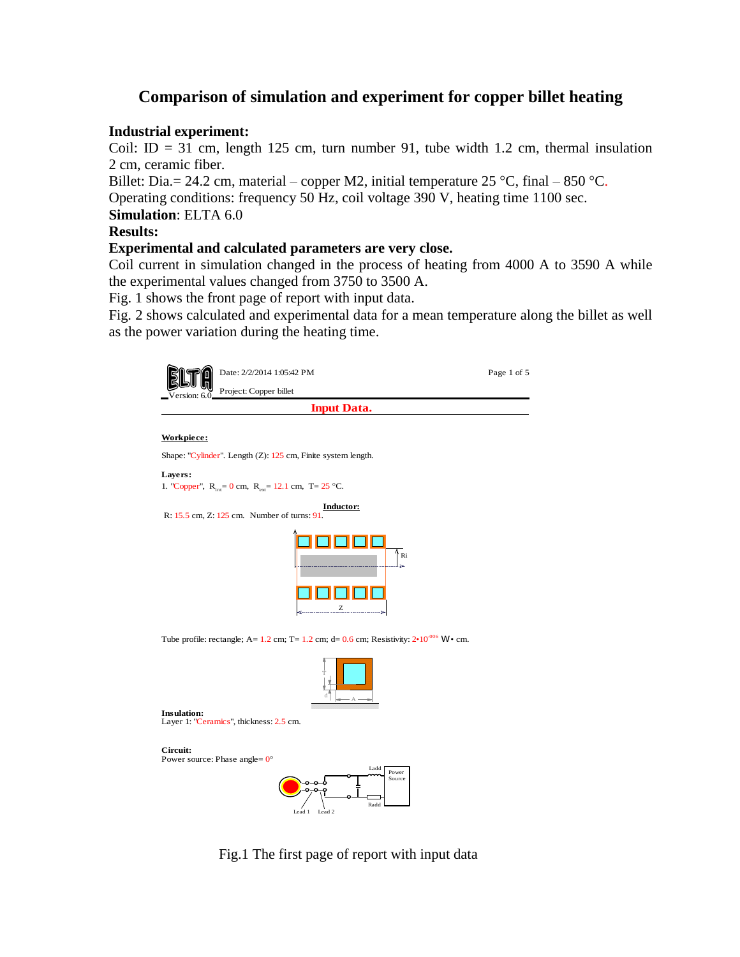## **Comparison of simulation and experiment for copper billet heating**

## **Industrial experiment:**

Coil: ID = 31 cm, length 125 cm, turn number 91, tube width 1.2 cm, thermal insulation 2 cm, ceramic fiber.

Billet: Dia. = 24.2 cm, material – copper M2, initial temperature  $25^{\circ}$ C, final – 850 °C.

Operating conditions: frequency 50 Hz, coil voltage 390 V, heating time 1100 sec.

**Simulation**: ELTA 6.0

## **Results:**

## **Experimental and calculated parameters are very close.**

Coil current in simulation changed in the process of heating from 4000 A to 3590 A while the experimental values changed from 3750 to 3500 A.

Fig. 1 shows the front page of report with input data.

Fig. 2 shows calculated and experimental data for a mean temperature along the billet as well as the power variation during the heating time.

| Date: 2/2/2014 1:05:42 PM                                                                                            | Page 1 of 5 |
|----------------------------------------------------------------------------------------------------------------------|-------------|
| Project: Copper billet                                                                                               |             |
| <b>Input Data.</b>                                                                                                   |             |
|                                                                                                                      |             |
| Workpiece:                                                                                                           |             |
| Shape: "Cylinder". Length (Z): 125 cm, Finite system length.                                                         |             |
| Layers:<br>1. "Copper", $R_{int} = 0$ cm, $R_{ext} = 12.1$ cm, T= 25 °C.                                             |             |
| <b>Inductor:</b><br>R: 15.5 cm, Z: 125 cm. Number of turns: 91.                                                      |             |
| $^{\mathbb{A}}$ Ri<br>Z                                                                                              |             |
| Tube profile: rectangle; A= 1.2 cm; T= 1.2 cm; d= 0.6 cm; Resistivity: $2 \cdot 10^{006}$ W $\cdot$ cm.              |             |
|                                                                                                                      |             |
| <b>Insulation:</b><br>Layer 1: "Ceramics", thickness: 2.5 cm.                                                        |             |
| Circuit:<br>Power source: Phase angle= $0^{\circ}$<br>Ladd<br>Power<br>Source<br>Radd<br>Lead 1<br>Lead <sub>2</sub> |             |

Fig.1 The first page of report with input data